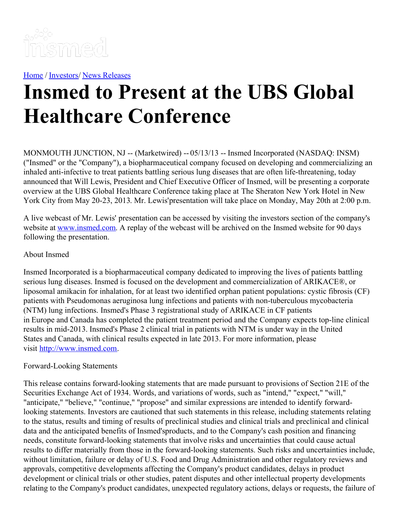

[Home](https://insmed.com/) / [Investors](https://investor.insmed.com/index)/ News [Releases](https://investor.insmed.com/releases)

## **Insmed to Present at the UBS Global Healthcare Conference**

MONMOUTH JUNCTION, NJ -- (Marketwired) -- 05/13/13 -- Insmed Incorporated (NASDAQ: INSM) ("Insmed" or the "Company"), a biopharmaceutical company focused on developing and commercializing an inhaled anti-infective to treat patients battling serious lung diseases that are often life-threatening, today announced that Will Lewis, President and Chief Executive Officer of Insmed, will be presenting a corporate overview at the UBS Global Healthcare Conference taking place at The Sheraton New York Hotel in New York City from May 20-23, 2013. Mr. Lewis'presentation will take place on Monday, May 20th at 2:00 p.m.

A live webcast of Mr. Lewis' presentation can be accessed by visiting the investors section of the company's website at [www.insmed.com](http://www.insmed.com/). A replay of the webcast will be archived on the Insmed website for 90 days following the presentation.

## About Insmed

Insmed Incorporated is a biopharmaceutical company dedicated to improving the lives of patients battling serious lung diseases. Insmed is focused on the development and commercialization of ARIKACE®, or liposomal amikacin for inhalation, for at least two identified orphan patient populations: cystic fibrosis (CF) patients with Pseudomonas aeruginosa lung infections and patients with non-tuberculous mycobacteria (NTM) lung infections. Insmed's Phase 3 registrational study of ARIKACE in CF patients in Europe and Canada has completed the patient treatment period and the Company expects top-line clinical results in mid-2013. Insmed's Phase 2 clinical trial in patients with NTM is under way in the United States and Canada, with clinical results expected in late 2013. For more information, please visit [http://www.insmed.com](http://www.insmed.com/).

## Forward-Looking Statements

This release contains forward-looking statements that are made pursuant to provisions of Section 21E of the Securities Exchange Act of 1934. Words, and variations of words, such as "intend," "expect," "will," "anticipate," "believe," "continue," "propose" and similar expressions are intended to identify forwardlooking statements. Investors are cautioned that such statements in this release, including statements relating to the status, results and timing of results of preclinical studies and clinical trials and preclinical and clinical data and the anticipated benefits of Insmed'sproducts, and to the Company's cash position and financing needs, constitute forward-looking statements that involve risks and uncertainties that could cause actual results to differ materially from those in the forward-looking statements. Such risks and uncertainties include, without limitation, failure or delay of U.S. Food and Drug Administration and other regulatory reviews and approvals, competitive developments affecting the Company's product candidates, delays in product development or clinical trials or other studies, patent disputes and other intellectual property developments relating to the Company's product candidates, unexpected regulatory actions, delays or requests, the failure of